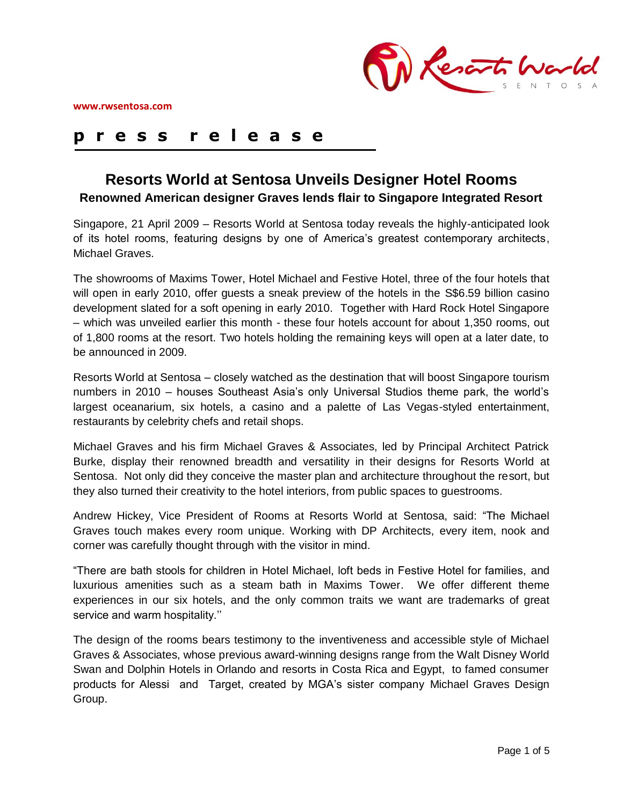

# **p r e s s r e l e a s e**

# **Resorts World at Sentosa Unveils Designer Hotel Rooms Renowned American designer Graves lends flair to Singapore Integrated Resort**

Singapore, 21 April 2009 – Resorts World at Sentosa today reveals the highly-anticipated look of its hotel rooms, featuring designs by one of America"s greatest contemporary architects, Michael Graves.

The showrooms of Maxims Tower, Hotel Michael and Festive Hotel, three of the four hotels that will open in early 2010, offer guests a sneak preview of the hotels in the S\$6.59 billion casino development slated for a soft opening in early 2010. Together with Hard Rock Hotel Singapore – which was unveiled earlier this month - these four hotels account for about 1,350 rooms, out of 1,800 rooms at the resort. Two hotels holding the remaining keys will open at a later date, to be announced in 2009.

Resorts World at Sentosa – closely watched as the destination that will boost Singapore tourism numbers in 2010 – houses Southeast Asia"s only Universal Studios theme park, the world"s largest oceanarium, six hotels, a casino and a palette of Las Vegas-styled entertainment, restaurants by celebrity chefs and retail shops.

Michael Graves and his firm Michael Graves & Associates, led by Principal Architect Patrick Burke, display their renowned breadth and versatility in their designs for Resorts World at Sentosa. Not only did they conceive the master plan and architecture throughout the resort, but they also turned their creativity to the hotel interiors, from public spaces to guestrooms.

Andrew Hickey, Vice President of Rooms at Resorts World at Sentosa, said: "The Michael Graves touch makes every room unique. Working with DP Architects, every item, nook and corner was carefully thought through with the visitor in mind.

"There are bath stools for children in Hotel Michael, loft beds in Festive Hotel for families, and luxurious amenities such as a steam bath in Maxims Tower. We offer different theme experiences in our six hotels, and the only common traits we want are trademarks of great service and warm hospitality."

The design of the rooms bears testimony to the inventiveness and accessible style of Michael Graves & Associates, whose previous award-winning designs range from the Walt Disney World Swan and Dolphin Hotels in Orlando and resorts in Costa Rica and Egypt, to famed consumer products for Alessi and Target, created by MGA"s sister company Michael Graves Design Group.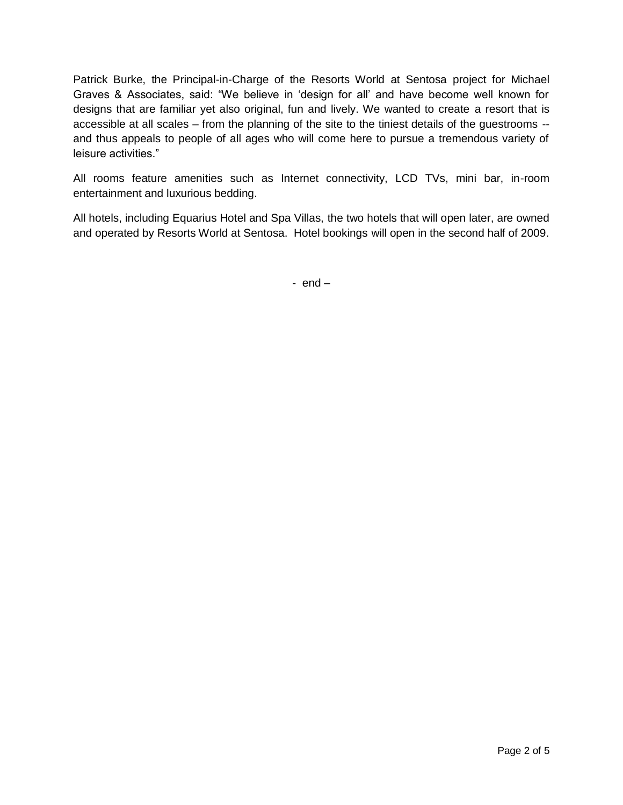Patrick Burke, the Principal-in-Charge of the Resorts World at Sentosa project for Michael Graves & Associates, said: "We believe in "design for all" and have become well known for designs that are familiar yet also original, fun and lively. We wanted to create a resort that is accessible at all scales – from the planning of the site to the tiniest details of the guestrooms - and thus appeals to people of all ages who will come here to pursue a tremendous variety of leisure activities."

All rooms feature amenities such as Internet connectivity, LCD TVs, mini bar, in-room entertainment and luxurious bedding.

All hotels, including Equarius Hotel and Spa Villas, the two hotels that will open later, are owned and operated by Resorts World at Sentosa. Hotel bookings will open in the second half of 2009.

-  $end -$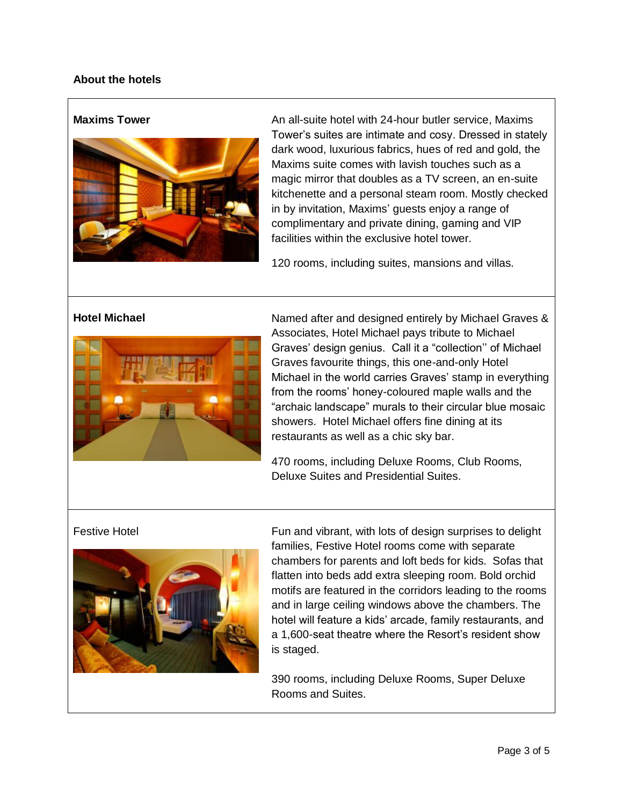# **About the hotels**



**Maxims Tower An all-suite hotel with 24-hour butler service, Maxims** Tower"s suites are intimate and cosy. Dressed in stately dark wood, luxurious fabrics, hues of red and gold, the Maxims suite comes with lavish touches such as a magic mirror that doubles as a TV screen, an en-suite kitchenette and a personal steam room. Mostly checked in by invitation, Maxims' guests enjoy a range of complimentary and private dining, gaming and VIP facilities within the exclusive hotel tower.

120 rooms, including suites, mansions and villas.



**Hotel Michael** Named after and designed entirely by Michael Graves & Associates, Hotel Michael pays tribute to Michael Graves" design genius. Call it a "collection"" of Michael Graves favourite things, this one-and-only Hotel Michael in the world carries Graves' stamp in everything from the rooms" honey-coloured maple walls and the "archaic landscape" murals to their circular blue mosaic showers. Hotel Michael offers fine dining at its restaurants as well as a chic sky bar.

> 470 rooms, including Deluxe Rooms, Club Rooms, Deluxe Suites and Presidential Suites.



Festive Hotel **Fun and vibrant, with lots of design surprises to delight** families, Festive Hotel rooms come with separate chambers for parents and loft beds for kids. Sofas that flatten into beds add extra sleeping room. Bold orchid motifs are featured in the corridors leading to the rooms and in large ceiling windows above the chambers. The hotel will feature a kids" arcade, family restaurants, and a 1,600-seat theatre where the Resort"s resident show is staged.

> 390 rooms, including Deluxe Rooms, Super Deluxe Rooms and Suites.